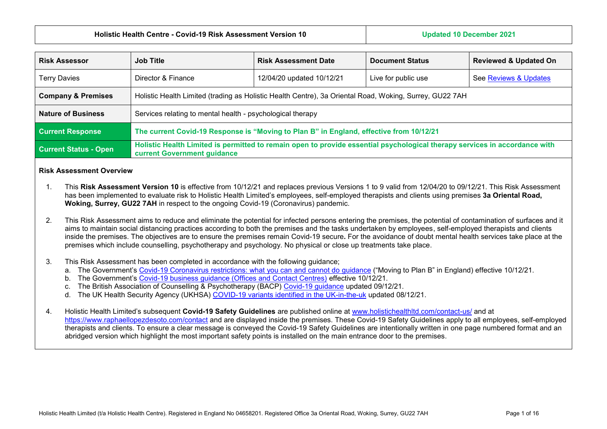| <b>Risk Assessor</b>          | <b>Job Title</b>                                                                                                                                          | <b>Risk Assessment Date</b> | <b>Document Status</b> | <b>Reviewed &amp; Updated On</b> |
|-------------------------------|-----------------------------------------------------------------------------------------------------------------------------------------------------------|-----------------------------|------------------------|----------------------------------|
| <b>Terry Davies</b>           | Director & Finance                                                                                                                                        | 12/04/20 updated 10/12/21   | Live for public use    | See Reviews & Updates            |
| <b>Company &amp; Premises</b> | Holistic Health Limited (trading as Holistic Health Centre), 3a Oriental Road, Woking, Surrey, GU22 7AH                                                   |                             |                        |                                  |
| <b>Nature of Business</b>     | Services relating to mental health - psychological therapy                                                                                                |                             |                        |                                  |
| <b>Current Response</b>       | The current Covid-19 Response is "Moving to Plan B" in England, effective from 10/12/21                                                                   |                             |                        |                                  |
| <b>Current Status - Open</b>  | Holistic Health Limited is permitted to remain open to provide essential psychological therapy services in accordance with<br>current Government guidance |                             |                        |                                  |

## **Risk Assessment Overview**

- 1. This **Risk Assessment Version 10** is effective from 10/12/21 and replaces previous Versions 1 to 9 valid from 12/04/20 to 09/12/21. This Risk Assessment has been implemented to evaluate risk to Holistic Health Limited's employees, self-employed therapists and clients using premises **3a Oriental Road, Woking, Surrey, GU22 7AH** in respect to the ongoing Covid-19 (Coronavirus) pandemic.
- 2. This Risk Assessment aims to reduce and eliminate the potential for infected persons entering the premises, the potential of contamination of surfaces and it aims to maintain social distancing practices according to both the premises and the tasks undertaken by employees, self-employed therapists and clients inside the premises. The objectives are to ensure the premises remain Covid-19 secure**.** For the avoidance of doubt mental health services take place at the premises which include counselling, psychotherapy and psychology. No physical or close up treatments take place.
- 3. This Risk Assessment has been completed in accordance with the following guidance;
	- a. The Government's [Covid-19 Coronavirus restrictions: what you can and cannot do](https://www.gov.uk/guidance/covid-19-coronavirus-restrictions-what-you-can-and-cannot-do) guidance ("Moving to Plan B" in England) effective 10/12/21.
	- b. The Government's [Covid-19 business guidance \(Offices and Contact Centres\)](https://www.gov.uk/guidance/working-safely-during-coronavirus-covid-19/offices-and-contact-centres) effective 10/12/21.
	- c. The British Association of Counselling & Psychotherapy (BACP) [Covid-19 guidance](https://www.bacp.co.uk/news/news-from-bacp/coronavirus/) updated 09/12/21.
	- d. The UK Health Security Agency (UKHSA) [COVID-19 variants identified in the UK-in-the-uk](https://www.gov.uk/government/news/covid-19-variants-identified-in-the-uk) updated 08/12/21.

4. Holistic Health Limited's subsequent **Covid-19 Safety Guidelines** are published online at [www.holistichealthltd.com/contact-us/](http://www.holistichealthltd.com/contact-us/) and at <https://www.raphaellopezdesoto.com/contact> and are displayed inside the premises. These Covid-19 Safety Guidelines apply to all employees, self-employed therapists and clients. To ensure a clear message is conveyed the Covid-19 Safety Guidelines are intentionally written in one page numbered format and an abridged version which highlight the most important safety points is installed on the main entrance door to the premises.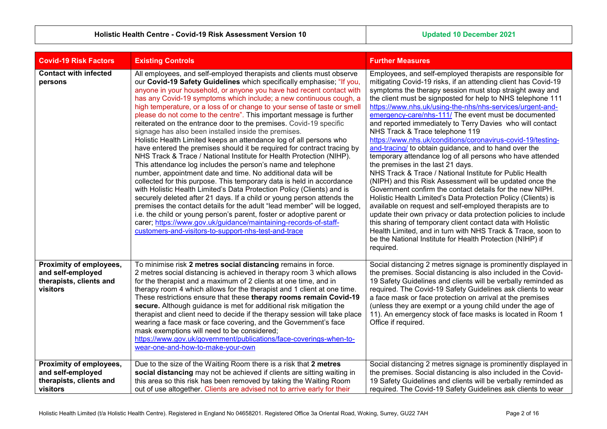| <b>Covid-19 Risk Factors</b>                                                        | <b>Existing Controls</b>                                                                                                                                                                                                                                                                                                                                                                                                                                                                                                                                                                                                                                                                                                                                                                                                                                                                                                                                                                                                                                                                                                                                                                                                                                                                                                                                                                                                                              | <b>Further Measures</b>                                                                                                                                                                                                                                                                                                                                                                                                                                                                                                                                                                                                                                                                                                                                                                                                                                                                                                                                                                                                                                                                                                                                                                                                                                                                             |
|-------------------------------------------------------------------------------------|-------------------------------------------------------------------------------------------------------------------------------------------------------------------------------------------------------------------------------------------------------------------------------------------------------------------------------------------------------------------------------------------------------------------------------------------------------------------------------------------------------------------------------------------------------------------------------------------------------------------------------------------------------------------------------------------------------------------------------------------------------------------------------------------------------------------------------------------------------------------------------------------------------------------------------------------------------------------------------------------------------------------------------------------------------------------------------------------------------------------------------------------------------------------------------------------------------------------------------------------------------------------------------------------------------------------------------------------------------------------------------------------------------------------------------------------------------|-----------------------------------------------------------------------------------------------------------------------------------------------------------------------------------------------------------------------------------------------------------------------------------------------------------------------------------------------------------------------------------------------------------------------------------------------------------------------------------------------------------------------------------------------------------------------------------------------------------------------------------------------------------------------------------------------------------------------------------------------------------------------------------------------------------------------------------------------------------------------------------------------------------------------------------------------------------------------------------------------------------------------------------------------------------------------------------------------------------------------------------------------------------------------------------------------------------------------------------------------------------------------------------------------------|
| <b>Contact with infected</b><br>persons                                             | All employees, and self-employed therapists and clients must observe<br>our Covid-19 Safety Guidelines which specifically emphasise; "If you,<br>anyone in your household, or anyone you have had recent contact with<br>has any Covid-19 symptoms which include; a new continuous cough, a<br>high temperature, or a loss of or change to your sense of taste or smell<br>please do not come to the centre". This important message is further<br>reiterated on the entrance door to the premises. Covid-19 specific<br>signage has also been installed inside the premises.<br>Holistic Health Limited keeps an attendance log of all persons who<br>have entered the premises should it be required for contract tracing by<br>NHS Track & Trace / National Institute for Health Protection (NIHP).<br>This attendance log includes the person's name and telephone<br>number, appointment date and time. No additional data will be<br>collected for this purpose. This temporary data is held in accordance<br>with Holistic Health Limited's Data Protection Policy (Clients) and is<br>securely deleted after 21 days. If a child or young person attends the<br>premises the contact details for the adult "lead member" will be logged,<br>i.e. the child or young person's parent, foster or adoptive parent or<br>carer; https://www.gov.uk/guidance/maintaining-records-of-staff-<br>customers-and-visitors-to-support-nhs-test-and-trace | Employees, and self-employed therapists are responsible for<br>mitigating Covid-19 risks, if an attending client has Covid-19<br>symptoms the therapy session must stop straight away and<br>the client must be signposted for help to NHS telephone 111<br>https://www.nhs.uk/using-the-nhs/nhs-services/urgent-and-<br>emergency-care/nhs-111/ The event must be documented<br>and reported immediately to Terry Davies who will contact<br>NHS Track & Trace telephone 119<br>https://www.nhs.uk/conditions/coronavirus-covid-19/testing-<br>and-tracing/ to obtain guidance, and to hand over the<br>temporary attendance log of all persons who have attended<br>the premises in the last 21 days.<br>NHS Track & Trace / National Institute for Public Health<br>(NIPH) and this Risk Assessment will be updated once the<br>Government confirm the contact details for the new NIPH.<br>Holistic Health Limited's Data Protection Policy (Clients) is<br>available on request and self-employed therapists are to<br>update their own privacy or data protection policies to include<br>this sharing of temporary client contact data with Holistic<br>Health Limited, and in turn with NHS Track & Trace, soon to<br>be the National Institute for Health Protection (NIHP) if<br>required. |
| Proximity of employees,<br>and self-employed<br>therapists, clients and<br>visitors | To minimise risk 2 metres social distancing remains in force.<br>2 metres social distancing is achieved in therapy room 3 which allows<br>for the therapist and a maximum of 2 clients at one time, and in<br>therapy room 4 which allows for the therapist and 1 client at one time.<br>These restrictions ensure that these therapy rooms remain Covid-19<br>secure. Although guidance is met for additional risk mitigation the<br>therapist and client need to decide if the therapy session will take place<br>wearing a face mask or face covering, and the Government's face<br>mask exemptions will need to be considered;<br>https://www.gov.uk/government/publications/face-coverings-when-to-<br>wear-one-and-how-to-make-your-own                                                                                                                                                                                                                                                                                                                                                                                                                                                                                                                                                                                                                                                                                                         | Social distancing 2 metres signage is prominently displayed in<br>the premises. Social distancing is also included in the Covid-<br>19 Safety Guidelines and clients will be verbally reminded as<br>required. The Covid-19 Safety Guidelines ask clients to wear<br>a face mask or face protection on arrival at the premises<br>(unless they are exempt or a young child under the age of<br>11). An emergency stock of face masks is located in Room 1<br>Office if required.                                                                                                                                                                                                                                                                                                                                                                                                                                                                                                                                                                                                                                                                                                                                                                                                                    |
| Proximity of employees,<br>and self-employed<br>therapists, clients and<br>visitors | Due to the size of the Waiting Room there is a risk that 2 metres<br>social distancing may not be achieved if clients are sitting waiting in<br>this area so this risk has been removed by taking the Waiting Room<br>out of use altogether. Clients are advised not to arrive early for their                                                                                                                                                                                                                                                                                                                                                                                                                                                                                                                                                                                                                                                                                                                                                                                                                                                                                                                                                                                                                                                                                                                                                        | Social distancing 2 metres signage is prominently displayed in<br>the premises. Social distancing is also included in the Covid-<br>19 Safety Guidelines and clients will be verbally reminded as<br>required. The Covid-19 Safety Guidelines ask clients to wear                                                                                                                                                                                                                                                                                                                                                                                                                                                                                                                                                                                                                                                                                                                                                                                                                                                                                                                                                                                                                                   |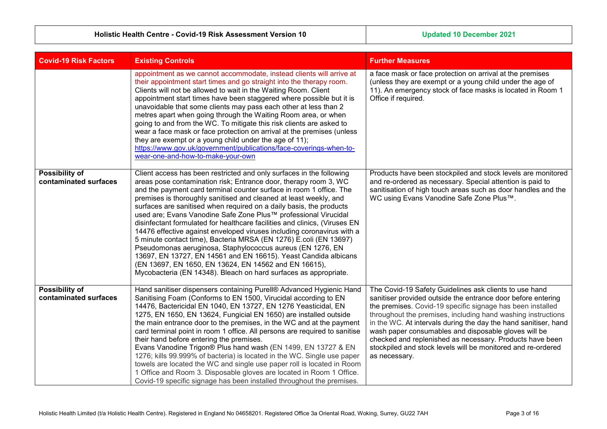| <b>Covid-19 Risk Factors</b>            | <b>Existing Controls</b>                                                                                                                                                                                                                                                                                                                                                                                                                                                                                                                                                                                                                                                                                                                                                                                                                                                                                                  | <b>Further Measures</b>                                                                                                                                                                                                                                                                                                                                                                                                                                                                                                      |
|-----------------------------------------|---------------------------------------------------------------------------------------------------------------------------------------------------------------------------------------------------------------------------------------------------------------------------------------------------------------------------------------------------------------------------------------------------------------------------------------------------------------------------------------------------------------------------------------------------------------------------------------------------------------------------------------------------------------------------------------------------------------------------------------------------------------------------------------------------------------------------------------------------------------------------------------------------------------------------|------------------------------------------------------------------------------------------------------------------------------------------------------------------------------------------------------------------------------------------------------------------------------------------------------------------------------------------------------------------------------------------------------------------------------------------------------------------------------------------------------------------------------|
|                                         | appointment as we cannot accommodate, instead clients will arrive at<br>their appointment start times and go straight into the therapy room.<br>Clients will not be allowed to wait in the Waiting Room. Client<br>appointment start times have been staggered where possible but it is<br>unavoidable that some clients may pass each other at less than 2<br>metres apart when going through the Waiting Room area, or when<br>going to and from the WC. To mitigate this risk clients are asked to<br>wear a face mask or face protection on arrival at the premises (unless<br>they are exempt or a young child under the age of 11);<br>https://www.gov.uk/government/publications/face-coverings-when-to-<br>wear-one-and-how-to-make-your-own                                                                                                                                                                      | a face mask or face protection on arrival at the premises<br>(unless they are exempt or a young child under the age of<br>11). An emergency stock of face masks is located in Room 1<br>Office if required.                                                                                                                                                                                                                                                                                                                  |
| Possibility of<br>contaminated surfaces | Client access has been restricted and only surfaces in the following<br>areas pose contamination risk; Entrance door, therapy room 3, WC<br>and the payment card terminal counter surface in room 1 office. The<br>premises is thoroughly sanitised and cleaned at least weekly, and<br>surfaces are sanitised when required on a daily basis, the products<br>used are; Evans Vanodine Safe Zone Plus™ professional Virucidal<br>disinfectant formulated for healthcare facilities and clinics, (Viruses EN<br>14476 effective against enveloped viruses including coronavirus with a<br>5 minute contact time), Bacteria MRSA (EN 1276) E.coli (EN 13697)<br>Pseudomonas aeruginosa, Staphylococcus aureus (EN 1276, EN<br>13697, EN 13727, EN 14561 and EN 16615). Yeast Candida albicans<br>(EN 13697, EN 1650, EN 13624, EN 14562 and EN 16615),<br>Mycobacteria (EN 14348). Bleach on hard surfaces as appropriate. | Products have been stockpiled and stock levels are monitored<br>and re-ordered as necessary. Special attention is paid to<br>sanitisation of high touch areas such as door handles and the<br>WC using Evans Vanodine Safe Zone Plus™.                                                                                                                                                                                                                                                                                       |
| Possibility of<br>contaminated surfaces | Hand sanitiser dispensers containing Purell® Advanced Hygienic Hand<br>Sanitising Foam (Conforms to EN 1500, Virucidal according to EN<br>14476, Bactericidal EN 1040, EN 13727, EN 1276 Yeasticidal, EN<br>1275, EN 1650, EN 13624, Fungicial EN 1650) are installed outside<br>the main entrance door to the premises, in the WC and at the payment<br>card terminal point in room 1 office. All persons are required to sanitise<br>their hand before entering the premises.<br>Evans Vanodine Trigon® Plus hand wash (EN 1499, EN 13727 & EN<br>1276; kills 99.999% of bacteria) is located in the WC. Single use paper<br>towels are located the WC and single use paper roll is located in Room<br>1 Office and Room 3. Disposable gloves are located in Room 1 Office.<br>Covid-19 specific signage has been installed throughout the premises.                                                                    | The Covid-19 Safety Guidelines ask clients to use hand<br>sanitiser provided outside the entrance door before entering<br>the premises. Covid-19 specific signage has been installed<br>throughout the premises, including hand washing instructions<br>in the WC. At intervals during the day the hand sanitiser, hand<br>wash paper consumables and disposable gloves will be<br>checked and replenished as necessary. Products have been<br>stockpiled and stock levels will be monitored and re-ordered<br>as necessary. |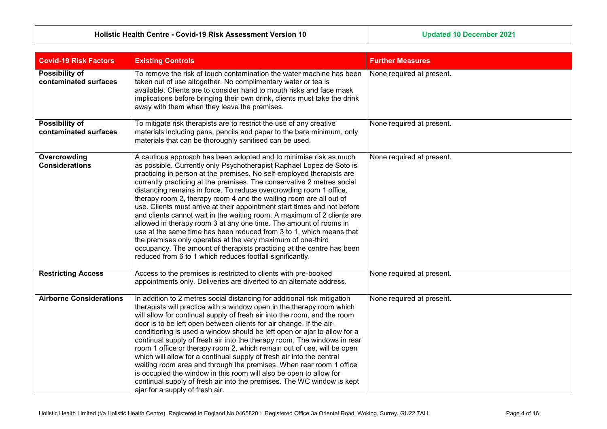| <b>Holistic Health Centre - Covid-19 Risk Assessment Version 10</b> |  |  |
|---------------------------------------------------------------------|--|--|
|---------------------------------------------------------------------|--|--|

**holistic Assessment Centre -** *Covid-Updated 10 December 2021* 

<span id="page-3-0"></span>

| <b>Covid-19 Risk Factors</b>            | <b>Existing Controls</b>                                                                                                                                                                                                                                                                                                                                                                                                                                                                                                                                                                                                                                                                                                                                                                                                                                                                                                                         | <b>Further Measures</b>   |
|-----------------------------------------|--------------------------------------------------------------------------------------------------------------------------------------------------------------------------------------------------------------------------------------------------------------------------------------------------------------------------------------------------------------------------------------------------------------------------------------------------------------------------------------------------------------------------------------------------------------------------------------------------------------------------------------------------------------------------------------------------------------------------------------------------------------------------------------------------------------------------------------------------------------------------------------------------------------------------------------------------|---------------------------|
| Possibility of<br>contaminated surfaces | To remove the risk of touch contamination the water machine has been<br>taken out of use altogether. No complimentary water or tea is<br>available. Clients are to consider hand to mouth risks and face mask<br>implications before bringing their own drink, clients must take the drink<br>away with them when they leave the premises.                                                                                                                                                                                                                                                                                                                                                                                                                                                                                                                                                                                                       | None required at present. |
| Possibility of<br>contaminated surfaces | To mitigate risk therapists are to restrict the use of any creative<br>materials including pens, pencils and paper to the bare minimum, only<br>materials that can be thoroughly sanitised can be used.                                                                                                                                                                                                                                                                                                                                                                                                                                                                                                                                                                                                                                                                                                                                          | None required at present. |
| Overcrowding<br><b>Considerations</b>   | A cautious approach has been adopted and to minimise risk as much<br>as possible. Currently only Psychotherapist Raphael Lopez de Soto is<br>practicing in person at the premises. No self-employed therapists are<br>currently practicing at the premises. The conservative 2 metres social<br>distancing remains in force. To reduce overcrowding room 1 office,<br>therapy room 2, therapy room 4 and the waiting room are all out of<br>use. Clients must arrive at their appointment start times and not before<br>and clients cannot wait in the waiting room. A maximum of 2 clients are<br>allowed in therapy room 3 at any one time. The amount of rooms in<br>use at the same time has been reduced from 3 to 1, which means that<br>the premises only operates at the very maximum of one-third<br>occupancy. The amount of therapists practicing at the centre has been<br>reduced from 6 to 1 which reduces footfall significantly. | None required at present. |
| <b>Restricting Access</b>               | Access to the premises is restricted to clients with pre-booked<br>appointments only. Deliveries are diverted to an alternate address.                                                                                                                                                                                                                                                                                                                                                                                                                                                                                                                                                                                                                                                                                                                                                                                                           | None required at present. |
| <b>Airborne Considerations</b>          | In addition to 2 metres social distancing for additional risk mitigation<br>therapists will practice with a window open in the therapy room which<br>will allow for continual supply of fresh air into the room, and the room<br>door is to be left open between clients for air change. If the air-<br>conditioning is used a window should be left open or ajar to allow for a<br>continual supply of fresh air into the therapy room. The windows in rear<br>room 1 office or therapy room 2, which remain out of use, will be open<br>which will allow for a continual supply of fresh air into the central<br>waiting room area and through the premises. When rear room 1 office<br>is occupied the window in this room will also be open to allow for<br>continual supply of fresh air into the premises. The WC window is kept<br>ajar for a supply of fresh air.                                                                        | None required at present. |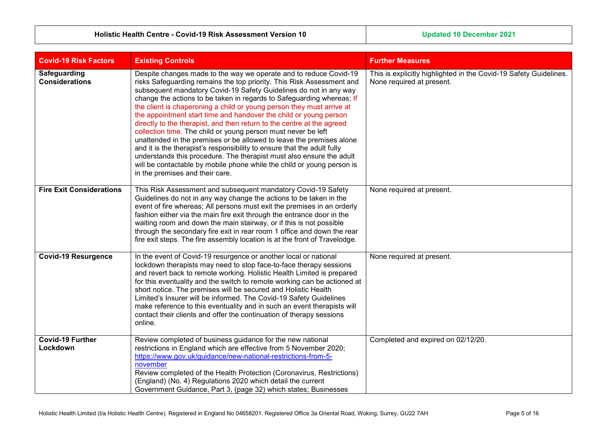| <b>Covid-19 Risk Factors</b>          | <b>Existing Controls</b>                                                                                                                                                                                                                                                                                                                                                                                                                                                                                                                                                                                                                                                                                                                                                                                                                                                                                                  | <b>Further Measures</b>                                                                        |
|---------------------------------------|---------------------------------------------------------------------------------------------------------------------------------------------------------------------------------------------------------------------------------------------------------------------------------------------------------------------------------------------------------------------------------------------------------------------------------------------------------------------------------------------------------------------------------------------------------------------------------------------------------------------------------------------------------------------------------------------------------------------------------------------------------------------------------------------------------------------------------------------------------------------------------------------------------------------------|------------------------------------------------------------------------------------------------|
| Safeguarding<br><b>Considerations</b> | Despite changes made to the way we operate and to reduce Covid-19<br>risks Safeguarding remains the top priority. This Risk Assessment and<br>subsequent mandatory Covid-19 Safety Guidelines do not in any way<br>change the actions to be taken in regards to Safeguarding whereas; If<br>the client is chaperoning a child or young person they must arrive at<br>the appointment start time and handover the child or young person<br>directly to the therapist, and then return to the centre at the agreed<br>collection time. The child or young person must never be left<br>unattended in the premises or be allowed to leave the premises alone<br>and it is the therapist's responsibility to ensure that the adult fully<br>understands this procedure. The therapist must also ensure the adult<br>will be contactable by mobile phone while the child or young person is<br>in the premises and their care. | This is explicitly highlighted in the Covid-19 Safety Guidelines.<br>None required at present. |
| <b>Fire Exit Considerations</b>       | This Risk Assessment and subsequent mandatory Covid-19 Safety<br>Guidelines do not in any way change the actions to be taken in the<br>event of fire whereas; All persons must exit the premises in an orderly<br>fashion either via the main fire exit through the entrance door in the<br>waiting room and down the main stairway, or if this is not possible<br>through the secondary fire exit in rear room 1 office and down the rear<br>fire exit steps. The fire assembly location is at the front of Travelodge.                                                                                                                                                                                                                                                                                                                                                                                                  | None required at present.                                                                      |
| <b>Covid-19 Resurgence</b>            | In the event of Covid-19 resurgence or another local or national<br>lockdown therapists may need to stop face-to-face therapy sessions<br>and revert back to remote working. Holistic Health Limited is prepared<br>for this eventuality and the switch to remote working can be actioned at<br>short notice. The premises will be secured and Holistic Health<br>Limited's Insurer will be informed. The Covid-19 Safety Guidelines<br>make reference to this eventuality and in such an event therapists will<br>contact their clients and offer the continuation of therapy sessions<br>online.                                                                                                                                                                                                                                                                                                                        | None required at present.                                                                      |
| <b>Covid-19 Further</b><br>Lockdown   | Review completed of business guidance for the new national<br>restrictions in England which are effective from 5 November 2020;<br>https://www.gov.uk/guidance/new-national-restrictions-from-5-<br>november<br>Review completed of the Health Protection (Coronavirus, Restrictions)<br>(England) (No. 4) Regulations 2020 which detail the current<br>Government Guidance, Part 3, (page 32) which states; Businesses                                                                                                                                                                                                                                                                                                                                                                                                                                                                                                   | Completed and expired on 02/12/20.                                                             |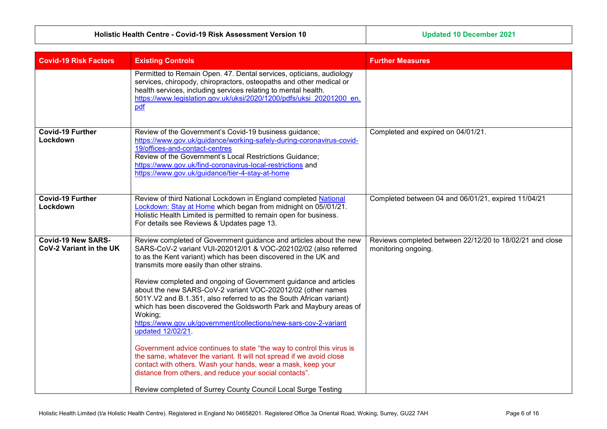**Updated 10 December 2021** 

<span id="page-5-0"></span>

| <b>Covid-19 Risk Factors</b>                         | <b>Existing Controls</b>                                                                                                                                                                                                                                                                                                                                                                                                                                                                                                                                                                                                                                                                                                                                                                                                                                                                                                                                                                | <b>Further Measures</b>                                                         |
|------------------------------------------------------|-----------------------------------------------------------------------------------------------------------------------------------------------------------------------------------------------------------------------------------------------------------------------------------------------------------------------------------------------------------------------------------------------------------------------------------------------------------------------------------------------------------------------------------------------------------------------------------------------------------------------------------------------------------------------------------------------------------------------------------------------------------------------------------------------------------------------------------------------------------------------------------------------------------------------------------------------------------------------------------------|---------------------------------------------------------------------------------|
|                                                      | Permitted to Remain Open. 47. Dental services, opticians, audiology<br>services, chiropody, chiropractors, osteopaths and other medical or<br>health services, including services relating to mental health.<br>https://www.legislation.gov.uk/uksi/2020/1200/pdfs/uksi 20201200 en.<br>pdf                                                                                                                                                                                                                                                                                                                                                                                                                                                                                                                                                                                                                                                                                             |                                                                                 |
| <b>Covid-19 Further</b><br>Lockdown                  | Review of the Government's Covid-19 business guidance;<br>https://www.gov.uk/guidance/working-safely-during-coronavirus-covid-<br>19/offices-and-contact-centres<br>Review of the Government's Local Restrictions Guidance;<br>https://www.gov.uk/find-coronavirus-local-restrictions and<br>https://www.gov.uk/guidance/tier-4-stay-at-home                                                                                                                                                                                                                                                                                                                                                                                                                                                                                                                                                                                                                                            | Completed and expired on 04/01/21.                                              |
| <b>Covid-19 Further</b><br>Lockdown                  | Review of third National Lockdown in England completed National<br>Lockdown: Stay at Home which began from midnight on 05//01/21.<br>Holistic Health Limited is permitted to remain open for business.<br>For details see Reviews & Updates page 13.                                                                                                                                                                                                                                                                                                                                                                                                                                                                                                                                                                                                                                                                                                                                    | Completed between 04 and 06/01/21, expired 11/04/21                             |
| <b>Covid-19 New SARS-</b><br>CoV-2 Variant in the UK | Review completed of Government guidance and articles about the new<br>SARS-CoV-2 variant VUI-202012/01 & VOC-202102/02 (also referred<br>to as the Kent variant) which has been discovered in the UK and<br>transmits more easily than other strains.<br>Review completed and ongoing of Government guidance and articles<br>about the new SARS-CoV-2 variant VOC-202012/02 (other names<br>501Y.V2 and B.1.351, also referred to as the South African variant)<br>which has been discovered the Goldsworth Park and Maybury areas of<br>Woking;<br>https://www.gov.uk/government/collections/new-sars-cov-2-variant<br>updated 12/02/21.<br>Government advice continues to state "the way to control this virus is<br>the same, whatever the variant. It will not spread if we avoid close<br>contact with others. Wash your hands, wear a mask, keep your<br>distance from others, and reduce your social contacts".<br>Review completed of Surrey County Council Local Surge Testing | Reviews completed between 22/12/20 to 18/02/21 and close<br>monitoring ongoing. |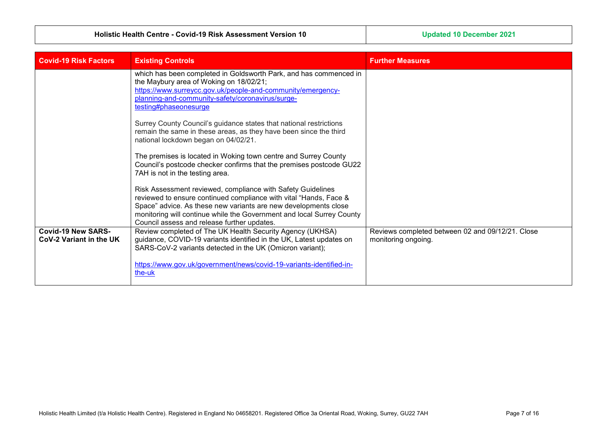| <b>Covid-19 Risk Factors</b>                         | <b>Existing Controls</b>                                                                                                                                                                                                                                                                                                    | <b>Further Measures</b>                                                 |
|------------------------------------------------------|-----------------------------------------------------------------------------------------------------------------------------------------------------------------------------------------------------------------------------------------------------------------------------------------------------------------------------|-------------------------------------------------------------------------|
|                                                      | which has been completed in Goldsworth Park, and has commenced in<br>the Maybury area of Woking on 18/02/21;<br>https://www.surreycc.gov.uk/people-and-community/emergency-<br>planning-and-community-safety/coronavirus/surge-<br>testing#phaseonesurge                                                                    |                                                                         |
|                                                      | Surrey County Council's guidance states that national restrictions<br>remain the same in these areas, as they have been since the third<br>national lockdown began on 04/02/21.                                                                                                                                             |                                                                         |
|                                                      | The premises is located in Woking town centre and Surrey County<br>Council's postcode checker confirms that the premises postcode GU22<br>7AH is not in the testing area.                                                                                                                                                   |                                                                         |
|                                                      | Risk Assessment reviewed, compliance with Safety Guidelines<br>reviewed to ensure continued compliance with vital "Hands, Face &<br>Space" advice. As these new variants are new developments close<br>monitoring will continue while the Government and local Surrey County<br>Council assess and release further updates. |                                                                         |
| <b>Covid-19 New SARS-</b><br>CoV-2 Variant in the UK | Review completed of The UK Health Security Agency (UKHSA)<br>guidance, COVID-19 variants identified in the UK, Latest updates on<br>SARS-CoV-2 variants detected in the UK (Omicron variant);                                                                                                                               | Reviews completed between 02 and 09/12/21. Close<br>monitoring ongoing. |
|                                                      | https://www.gov.uk/government/news/covid-19-variants-identified-in-<br>the-uk                                                                                                                                                                                                                                               |                                                                         |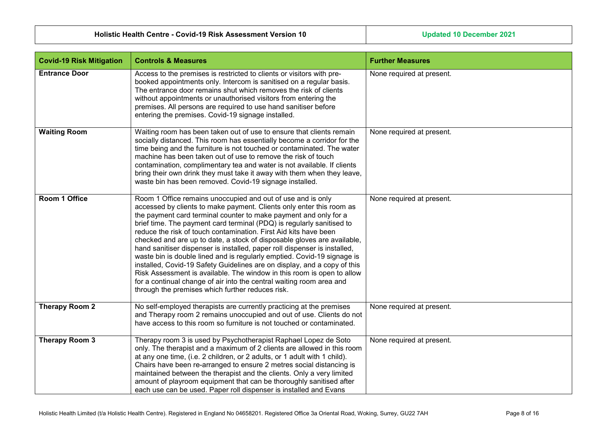| <b>Covid-19 Risk Mitigation</b> | <b>Controls &amp; Measures</b>                                                                                                                                                                                                                                                                                                                                                                                                                                                                                                                                                                                                                                                                                                                                                                                                                                            | <b>Further Measures</b>   |
|---------------------------------|---------------------------------------------------------------------------------------------------------------------------------------------------------------------------------------------------------------------------------------------------------------------------------------------------------------------------------------------------------------------------------------------------------------------------------------------------------------------------------------------------------------------------------------------------------------------------------------------------------------------------------------------------------------------------------------------------------------------------------------------------------------------------------------------------------------------------------------------------------------------------|---------------------------|
| <b>Entrance Door</b>            | Access to the premises is restricted to clients or visitors with pre-<br>booked appointments only. Intercom is sanitised on a regular basis.<br>The entrance door remains shut which removes the risk of clients<br>without appointments or unauthorised visitors from entering the<br>premises. All persons are required to use hand sanitiser before<br>entering the premises. Covid-19 signage installed.                                                                                                                                                                                                                                                                                                                                                                                                                                                              | None required at present. |
| <b>Waiting Room</b>             | Waiting room has been taken out of use to ensure that clients remain<br>socially distanced. This room has essentially become a corridor for the<br>time being and the furniture is not touched or contaminated. The water<br>machine has been taken out of use to remove the risk of touch<br>contamination, complimentary tea and water is not available. If clients<br>bring their own drink they must take it away with them when they leave,<br>waste bin has been removed. Covid-19 signage installed.                                                                                                                                                                                                                                                                                                                                                               | None required at present. |
| Room 1 Office                   | Room 1 Office remains unoccupied and out of use and is only<br>accessed by clients to make payment. Clients only enter this room as<br>the payment card terminal counter to make payment and only for a<br>brief time. The payment card terminal (PDQ) is regularly sanitised to<br>reduce the risk of touch contamination. First Aid kits have been<br>checked and are up to date, a stock of disposable gloves are available,<br>hand sanitiser dispenser is installed, paper roll dispenser is installed,<br>waste bin is double lined and is regularly emptied. Covid-19 signage is<br>installed, Covid-19 Safety Guidelines are on display, and a copy of this<br>Risk Assessment is available. The window in this room is open to allow<br>for a continual change of air into the central waiting room area and<br>through the premises which further reduces risk. | None required at present. |
| <b>Therapy Room 2</b>           | No self-employed therapists are currently practicing at the premises<br>and Therapy room 2 remains unoccupied and out of use. Clients do not<br>have access to this room so furniture is not touched or contaminated.                                                                                                                                                                                                                                                                                                                                                                                                                                                                                                                                                                                                                                                     | None required at present. |
| <b>Therapy Room 3</b>           | Therapy room 3 is used by Psychotherapist Raphael Lopez de Soto<br>only. The therapist and a maximum of 2 clients are allowed in this room<br>at any one time, (i.e. 2 children, or 2 adults, or 1 adult with 1 child).<br>Chairs have been re-arranged to ensure 2 metres social distancing is<br>maintained between the therapist and the clients. Only a very limited<br>amount of playroom equipment that can be thoroughly sanitised after<br>each use can be used. Paper roll dispenser is installed and Evans                                                                                                                                                                                                                                                                                                                                                      | None required at present. |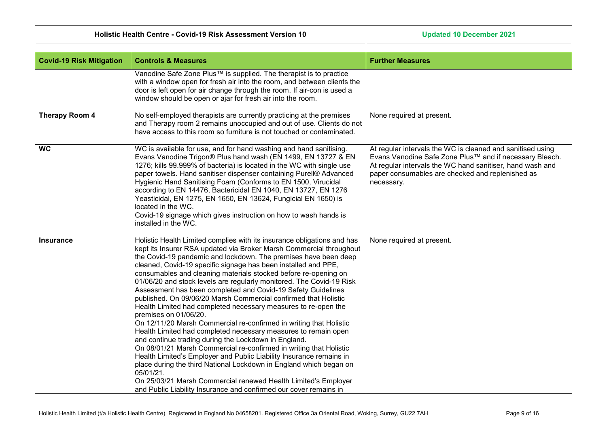**holistic Equation Centre -19 Risk Assessment Assessment Properties and Network Assessment Properties and Network Assessment Properties and Network Assessment Properties and Network Assessment Properties and Network Assess** 

<span id="page-8-0"></span>

| <b>Covid-19 Risk Mitigation</b> | <b>Controls &amp; Measures</b>                                                                                                                                                                                                                                                                                                                                                                                                                                                                                                                                                                                                                                                                                                                                                                                                                                                                                                                                                                                                                                                                                                                                                                                                      | <b>Further Measures</b>                                                                                                                                                                                                                              |
|---------------------------------|-------------------------------------------------------------------------------------------------------------------------------------------------------------------------------------------------------------------------------------------------------------------------------------------------------------------------------------------------------------------------------------------------------------------------------------------------------------------------------------------------------------------------------------------------------------------------------------------------------------------------------------------------------------------------------------------------------------------------------------------------------------------------------------------------------------------------------------------------------------------------------------------------------------------------------------------------------------------------------------------------------------------------------------------------------------------------------------------------------------------------------------------------------------------------------------------------------------------------------------|------------------------------------------------------------------------------------------------------------------------------------------------------------------------------------------------------------------------------------------------------|
|                                 | Vanodine Safe Zone Plus™ is supplied. The therapist is to practice<br>with a window open for fresh air into the room, and between clients the<br>door is left open for air change through the room. If air-con is used a<br>window should be open or ajar for fresh air into the room.                                                                                                                                                                                                                                                                                                                                                                                                                                                                                                                                                                                                                                                                                                                                                                                                                                                                                                                                              |                                                                                                                                                                                                                                                      |
| <b>Therapy Room 4</b>           | No self-employed therapists are currently practicing at the premises<br>and Therapy room 2 remains unoccupied and out of use. Clients do not<br>have access to this room so furniture is not touched or contaminated.                                                                                                                                                                                                                                                                                                                                                                                                                                                                                                                                                                                                                                                                                                                                                                                                                                                                                                                                                                                                               | None required at present.                                                                                                                                                                                                                            |
| <b>WC</b>                       | WC is available for use, and for hand washing and hand sanitising.<br>Evans Vanodine Trigon® Plus hand wash (EN 1499, EN 13727 & EN<br>1276; kills 99.999% of bacteria) is located in the WC with single use<br>paper towels. Hand sanitiser dispenser containing Purell® Advanced<br>Hygienic Hand Sanitising Foam (Conforms to EN 1500, Virucidal<br>according to EN 14476, Bactericidal EN 1040, EN 13727, EN 1276<br>Yeasticidal, EN 1275, EN 1650, EN 13624, Fungicial EN 1650) is<br>located in the WC.<br>Covid-19 signage which gives instruction on how to wash hands is<br>installed in the WC.                                                                                                                                                                                                                                                                                                                                                                                                                                                                                                                                                                                                                           | At regular intervals the WC is cleaned and sanitised using<br>Evans Vanodine Safe Zone Plus™ and if necessary Bleach.<br>At regular intervals the WC hand sanitiser, hand wash and<br>paper consumables are checked and replenished as<br>necessary. |
| <b>Insurance</b>                | Holistic Health Limited complies with its insurance obligations and has<br>kept its Insurer RSA updated via Broker Marsh Commercial throughout<br>the Covid-19 pandemic and lockdown. The premises have been deep<br>cleaned, Covid-19 specific signage has been installed and PPE,<br>consumables and cleaning materials stocked before re-opening on<br>01/06/20 and stock levels are regularly monitored. The Covid-19 Risk<br>Assessment has been completed and Covid-19 Safety Guidelines<br>published. On 09/06/20 Marsh Commercial confirmed that Holistic<br>Health Limited had completed necessary measures to re-open the<br>premises on 01/06/20.<br>On 12/11/20 Marsh Commercial re-confirmed in writing that Holistic<br>Health Limited had completed necessary measures to remain open<br>and continue trading during the Lockdown in England.<br>On 08/01/21 Marsh Commercial re-confirmed in writing that Holistic<br>Health Limited's Employer and Public Liability Insurance remains in<br>place during the third National Lockdown in England which began on<br>05/01/21.<br>On 25/03/21 Marsh Commercial renewed Health Limited's Employer<br>and Public Liability Insurance and confirmed our cover remains in | None required at present.                                                                                                                                                                                                                            |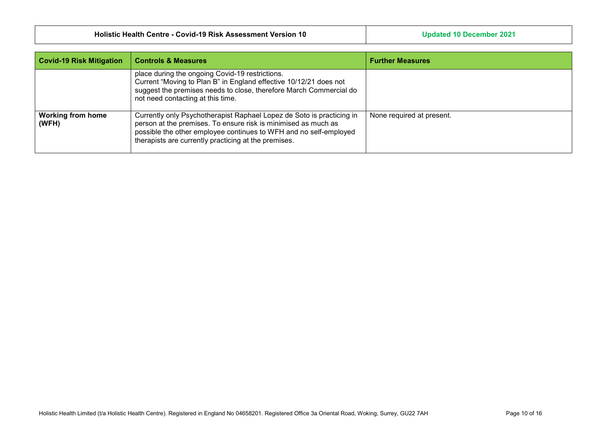**Updated 10 December 2021** 

| <b>Covid-19 Risk Mitigation</b>   | <b>Controls &amp; Measures</b>                                                                                                                                                                                                                                       | <b>Further Measures</b>   |
|-----------------------------------|----------------------------------------------------------------------------------------------------------------------------------------------------------------------------------------------------------------------------------------------------------------------|---------------------------|
|                                   | place during the ongoing Covid-19 restrictions.<br>Current "Moving to Plan B" in England effective 10/12/21 does not<br>suggest the premises needs to close, therefore March Commercial do<br>not need contacting at this time.                                      |                           |
| <b>Working from home</b><br>(WFH) | Currently only Psychotherapist Raphael Lopez de Soto is practicing in<br>person at the premises. To ensure risk is minimised as much as<br>possible the other employee continues to WFH and no self-employed<br>therapists are currently practicing at the premises. | None required at present. |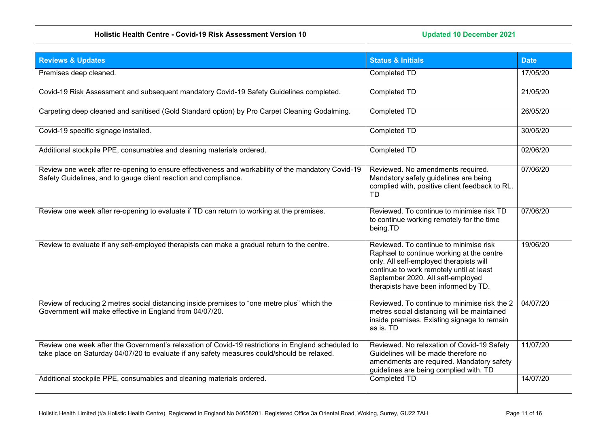| Holistic Health Centre - Covid-19 Risk Assessment Version 10 | Updated 10 December 2021 |
|--------------------------------------------------------------|--------------------------|
|--------------------------------------------------------------|--------------------------|

| <b>Reviews &amp; Updates</b>                                                                                                                                                                      | <b>Status &amp; Initials</b>                                                                                                                                                                                                                            | <b>Date</b>           |
|---------------------------------------------------------------------------------------------------------------------------------------------------------------------------------------------------|---------------------------------------------------------------------------------------------------------------------------------------------------------------------------------------------------------------------------------------------------------|-----------------------|
| Premises deep cleaned.                                                                                                                                                                            | Completed TD                                                                                                                                                                                                                                            | 17/05/20              |
| Covid-19 Risk Assessment and subsequent mandatory Covid-19 Safety Guidelines completed.                                                                                                           | Completed TD                                                                                                                                                                                                                                            | $\overline{21/05/20}$ |
| Carpeting deep cleaned and sanitised (Gold Standard option) by Pro Carpet Cleaning Godalming.                                                                                                     | Completed TD                                                                                                                                                                                                                                            | 26/05/20              |
| Covid-19 specific signage installed.                                                                                                                                                              | Completed TD                                                                                                                                                                                                                                            | 30/05/20              |
| Additional stockpile PPE, consumables and cleaning materials ordered.                                                                                                                             | Completed TD                                                                                                                                                                                                                                            | 02/06/20              |
| Review one week after re-opening to ensure effectiveness and workability of the mandatory Covid-19<br>Safety Guidelines, and to gauge client reaction and compliance.                             | Reviewed. No amendments required.<br>Mandatory safety guidelines are being<br>complied with, positive client feedback to RL.<br><b>TD</b>                                                                                                               | 07/06/20              |
| Review one week after re-opening to evaluate if TD can return to working at the premises.                                                                                                         | Reviewed. To continue to minimise risk TD<br>to continue working remotely for the time<br>being.TD                                                                                                                                                      | 07/06/20              |
| Review to evaluate if any self-employed therapists can make a gradual return to the centre.                                                                                                       | Reviewed. To continue to minimise risk<br>Raphael to continue working at the centre<br>only. All self-employed therapists will<br>continue to work remotely until at least<br>September 2020. All self-employed<br>therapists have been informed by TD. | 19/06/20              |
| Review of reducing 2 metres social distancing inside premises to "one metre plus" which the<br>Government will make effective in England from 04/07/20.                                           | Reviewed. To continue to minimise risk the 2<br>metres social distancing will be maintained<br>inside premises. Existing signage to remain<br>as is. TD                                                                                                 | 04/07/20              |
| Review one week after the Government's relaxation of Covid-19 restrictions in England scheduled to<br>take place on Saturday 04/07/20 to evaluate if any safety measures could/should be relaxed. | Reviewed. No relaxation of Covid-19 Safety<br>Guidelines will be made therefore no<br>amendments are required. Mandatory safety<br>guidelines are being complied with. TD                                                                               | 11/07/20              |
| Additional stockpile PPE, consumables and cleaning materials ordered.                                                                                                                             | Completed TD                                                                                                                                                                                                                                            | 14/07/20              |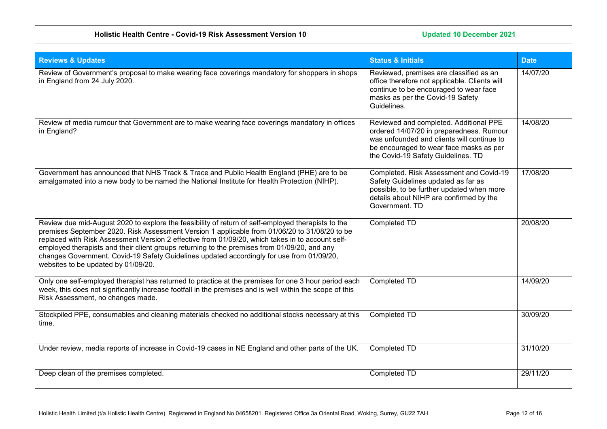## **Updated 10 December 2021**

| <b>Reviews &amp; Updates</b>                                                                                                                                                                                                                                                                                                                                                                                                                                                                                                                | <b>Status &amp; Initials</b>                                                                                                                                                                                      | <b>Date</b> |
|---------------------------------------------------------------------------------------------------------------------------------------------------------------------------------------------------------------------------------------------------------------------------------------------------------------------------------------------------------------------------------------------------------------------------------------------------------------------------------------------------------------------------------------------|-------------------------------------------------------------------------------------------------------------------------------------------------------------------------------------------------------------------|-------------|
| Review of Government's proposal to make wearing face coverings mandatory for shoppers in shops<br>in England from 24 July 2020.                                                                                                                                                                                                                                                                                                                                                                                                             | Reviewed, premises are classified as an<br>office therefore not applicable. Clients will<br>continue to be encouraged to wear face<br>masks as per the Covid-19 Safety<br>Guidelines.                             | 14/07/20    |
| Review of media rumour that Government are to make wearing face coverings mandatory in offices<br>in England?                                                                                                                                                                                                                                                                                                                                                                                                                               | Reviewed and completed. Additional PPE<br>ordered 14/07/20 in preparedness. Rumour<br>was unfounded and clients will continue to<br>be encouraged to wear face masks as per<br>the Covid-19 Safety Guidelines. TD | 14/08/20    |
| Government has announced that NHS Track & Trace and Public Health England (PHE) are to be<br>amalgamated into a new body to be named the National Institute for Health Protection (NIHP).                                                                                                                                                                                                                                                                                                                                                   | Completed. Risk Assessment and Covid-19<br>Safety Guidelines updated as far as<br>possible, to be further updated when more<br>details about NIHP are confirmed by the<br>Government. TD                          | 17/08/20    |
| Review due mid-August 2020 to explore the feasibility of return of self-employed therapists to the<br>premises September 2020. Risk Assessment Version 1 applicable from 01/06/20 to 31/08/20 to be<br>replaced with Risk Assessment Version 2 effective from 01/09/20, which takes in to account self-<br>employed therapists and their client groups returning to the premises from 01/09/20, and any<br>changes Government. Covid-19 Safety Guidelines updated accordingly for use from 01/09/20,<br>websites to be updated by 01/09/20. | <b>Completed TD</b>                                                                                                                                                                                               | 20/08/20    |
| Only one self-employed therapist has returned to practice at the premises for one 3 hour period each<br>week, this does not significantly increase footfall in the premises and is well within the scope of this<br>Risk Assessment, no changes made.                                                                                                                                                                                                                                                                                       | Completed TD                                                                                                                                                                                                      | 14/09/20    |
| Stockpiled PPE, consumables and cleaning materials checked no additional stocks necessary at this<br>time.                                                                                                                                                                                                                                                                                                                                                                                                                                  | Completed TD                                                                                                                                                                                                      | 30/09/20    |
| Under review, media reports of increase in Covid-19 cases in NE England and other parts of the UK.                                                                                                                                                                                                                                                                                                                                                                                                                                          | Completed TD                                                                                                                                                                                                      | 31/10/20    |
| Deep clean of the premises completed.                                                                                                                                                                                                                                                                                                                                                                                                                                                                                                       | Completed TD                                                                                                                                                                                                      | 29/11/20    |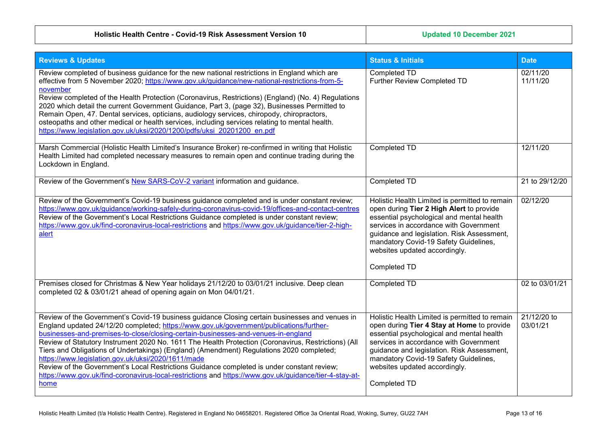**holistic Assessment Centre -** *Covid-Updated 10 December 2021* 

| <b>Reviews &amp; Updates</b>                                                                                                                                                                                                                                                                                                                                                                                                                                                                                                                                                                                                                                                                                                                            | <b>Status &amp; Initials</b>                                                                                                                                                                                                                                                                                                | <b>Date</b>             |
|---------------------------------------------------------------------------------------------------------------------------------------------------------------------------------------------------------------------------------------------------------------------------------------------------------------------------------------------------------------------------------------------------------------------------------------------------------------------------------------------------------------------------------------------------------------------------------------------------------------------------------------------------------------------------------------------------------------------------------------------------------|-----------------------------------------------------------------------------------------------------------------------------------------------------------------------------------------------------------------------------------------------------------------------------------------------------------------------------|-------------------------|
| Review completed of business guidance for the new national restrictions in England which are<br>effective from 5 November 2020; https://www.gov.uk/guidance/new-national-restrictions-from-5-<br>november<br>Review completed of the Health Protection (Coronavirus, Restrictions) (England) (No. 4) Regulations<br>2020 which detail the current Government Guidance, Part 3, (page 32), Businesses Permitted to<br>Remain Open, 47. Dental services, opticians, audiology services, chiropody, chiropractors,<br>osteopaths and other medical or health services, including services relating to mental health.<br>https://www.legislation.gov.uk/uksi/2020/1200/pdfs/uksi 20201200 en.pdf                                                            | Completed TD<br>Further Review Completed TD                                                                                                                                                                                                                                                                                 | 02/11/20<br>11/11/20    |
| Marsh Commercial (Holistic Health Limited's Insurance Broker) re-confirmed in writing that Holistic<br>Health Limited had completed necessary measures to remain open and continue trading during the<br>Lockdown in England.                                                                                                                                                                                                                                                                                                                                                                                                                                                                                                                           | Completed TD                                                                                                                                                                                                                                                                                                                | 12/11/20                |
| Review of the Government's New SARS-CoV-2 variant information and guidance.                                                                                                                                                                                                                                                                                                                                                                                                                                                                                                                                                                                                                                                                             | <b>Completed TD</b>                                                                                                                                                                                                                                                                                                         | 21 to 29/12/20          |
| Review of the Government's Covid-19 business guidance completed and is under constant review;<br>https://www.gov.uk/guidance/working-safely-during-coronavirus-covid-19/offices-and-contact-centres<br>Review of the Government's Local Restrictions Guidance completed is under constant review;<br>https://www.gov.uk/find-coronavirus-local-restrictions and https://www.gov.uk/guidance/tier-2-high-<br>alert                                                                                                                                                                                                                                                                                                                                       | Holistic Health Limited is permitted to remain<br>open during Tier 2 High Alert to provide<br>essential psychological and mental health<br>services in accordance with Government<br>guidance and legislation. Risk Assessment,<br>mandatory Covid-19 Safety Guidelines,<br>websites updated accordingly.<br>Completed TD   | 02/12/20                |
| Premises closed for Christmas & New Year holidays 21/12/20 to 03/01/21 inclusive. Deep clean<br>completed 02 & 03/01/21 ahead of opening again on Mon 04/01/21.                                                                                                                                                                                                                                                                                                                                                                                                                                                                                                                                                                                         | Completed TD                                                                                                                                                                                                                                                                                                                | 02 to 03/01/21          |
| Review of the Government's Covid-19 business guidance Closing certain businesses and venues in<br>England updated 24/12/20 completed; https://www.gov.uk/government/publications/further-<br>businesses-and-premises-to-close/closing-certain-businesses-and-venues-in-england<br>Review of Statutory Instrument 2020 No. 1611 The Health Protection (Coronavirus, Restrictions) (All<br>Tiers and Obligations of Undertakings) (England) (Amendment) Regulations 2020 completed;<br>https://www.legislation.gov.uk/uksi/2020/1611/made<br>Review of the Government's Local Restrictions Guidance completed is under constant review;<br>https://www.gov.uk/find-coronavirus-local-restrictions and https://www.gov.uk/guidance/tier-4-stay-at-<br>home | Holistic Health Limited is permitted to remain<br>open during Tier 4 Stay at Home to provide<br>essential psychological and mental health<br>services in accordance with Government<br>guidance and legislation. Risk Assessment,<br>mandatory Covid-19 Safety Guidelines,<br>websites updated accordingly.<br>Completed TD | 21/12/20 to<br>03/01/21 |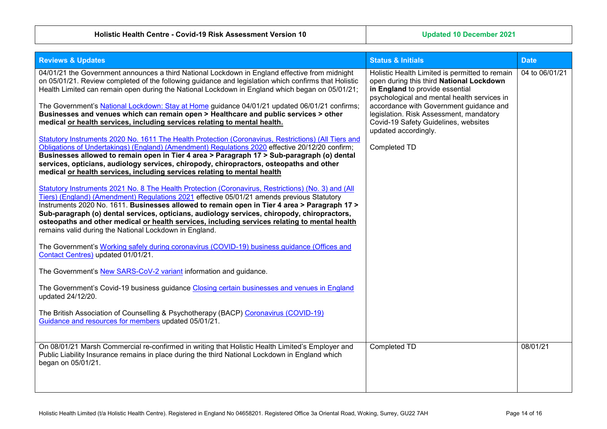## **holistic Equation Centre -19 Risk Assessment Assessment Properties and Network Assessment Properties and Network Assessment Properties and Network Assessment Properties and Network Assessment Properties and Network Assess**

| <b>Reviews &amp; Updates</b>                                                                                                                                                                                                                                                                                                                                                                                                                                                                                                                                                                                                                                                                                                                                                                                                                                                                                                                                                                                                                                                                                                                                                                                                                                                                                                                                         | <b>Status &amp; Initials</b>                                                                                                                                                                                                                                                                                                                       | <b>Date</b>    |
|----------------------------------------------------------------------------------------------------------------------------------------------------------------------------------------------------------------------------------------------------------------------------------------------------------------------------------------------------------------------------------------------------------------------------------------------------------------------------------------------------------------------------------------------------------------------------------------------------------------------------------------------------------------------------------------------------------------------------------------------------------------------------------------------------------------------------------------------------------------------------------------------------------------------------------------------------------------------------------------------------------------------------------------------------------------------------------------------------------------------------------------------------------------------------------------------------------------------------------------------------------------------------------------------------------------------------------------------------------------------|----------------------------------------------------------------------------------------------------------------------------------------------------------------------------------------------------------------------------------------------------------------------------------------------------------------------------------------------------|----------------|
| 04/01/21 the Government announces a third National Lockdown in England effective from midnight<br>on 05/01/21. Review completed of the following guidance and legislation which confirms that Holistic<br>Health Limited can remain open during the National Lockdown in England which began on 05/01/21;<br>The Government's National Lockdown: Stay at Home guidance 04/01/21 updated 06/01/21 confirms;<br>Businesses and venues which can remain open > Healthcare and public services > other<br>medical or health services, including services relating to mental health.<br>Statutory Instruments 2020 No. 1611 The Health Protection (Coronavirus, Restrictions) (All Tiers and<br>Obligations of Undertakings) (England) (Amendment) Regulations 2020 effective 20/12/20 confirm;<br>Businesses allowed to remain open in Tier 4 area > Paragraph 17 > Sub-paragraph (o) dental<br>services, opticians, audiology services, chiropody, chiropractors, osteopaths and other<br>medical or health services, including services relating to mental health<br>Statutory Instruments 2021 No. 8 The Health Protection (Coronavirus, Restrictions) (No. 3) and (All<br>Tiers) (England) (Amendment) Regulations 2021 effective 05/01/21 amends previous Statutory<br>Instruments 2020 No. 1611. Businesses allowed to remain open in Tier 4 area > Paragraph 17 > | Holistic Health Limited is permitted to remain<br>open during this third National Lockdown<br>in England to provide essential<br>psychological and mental health services in<br>accordance with Government guidance and<br>legislation. Risk Assessment, mandatory<br>Covid-19 Safety Guidelines, websites<br>updated accordingly.<br>Completed TD | 04 to 06/01/21 |
| Sub-paragraph (o) dental services, opticians, audiology services, chiropody, chiropractors,<br>osteopaths and other medical or health services, including services relating to mental health<br>remains valid during the National Lockdown in England.                                                                                                                                                                                                                                                                                                                                                                                                                                                                                                                                                                                                                                                                                                                                                                                                                                                                                                                                                                                                                                                                                                               |                                                                                                                                                                                                                                                                                                                                                    |                |
| The Government's Working safely during coronavirus (COVID-19) business guidance (Offices and<br>Contact Centres) updated 01/01/21.                                                                                                                                                                                                                                                                                                                                                                                                                                                                                                                                                                                                                                                                                                                                                                                                                                                                                                                                                                                                                                                                                                                                                                                                                                   |                                                                                                                                                                                                                                                                                                                                                    |                |
| The Government's New SARS-CoV-2 variant information and guidance.                                                                                                                                                                                                                                                                                                                                                                                                                                                                                                                                                                                                                                                                                                                                                                                                                                                                                                                                                                                                                                                                                                                                                                                                                                                                                                    |                                                                                                                                                                                                                                                                                                                                                    |                |
| The Government's Covid-19 business guidance Closing certain businesses and venues in England<br>updated 24/12/20.                                                                                                                                                                                                                                                                                                                                                                                                                                                                                                                                                                                                                                                                                                                                                                                                                                                                                                                                                                                                                                                                                                                                                                                                                                                    |                                                                                                                                                                                                                                                                                                                                                    |                |
| The British Association of Counselling & Psychotherapy (BACP) Coronavirus (COVID-19)<br>Guidance and resources for members updated 05/01/21.                                                                                                                                                                                                                                                                                                                                                                                                                                                                                                                                                                                                                                                                                                                                                                                                                                                                                                                                                                                                                                                                                                                                                                                                                         |                                                                                                                                                                                                                                                                                                                                                    |                |
| On 08/01/21 Marsh Commercial re-confirmed in writing that Holistic Health Limited's Employer and<br>Public Liability Insurance remains in place during the third National Lockdown in England which<br>began on 05/01/21.                                                                                                                                                                                                                                                                                                                                                                                                                                                                                                                                                                                                                                                                                                                                                                                                                                                                                                                                                                                                                                                                                                                                            | Completed TD                                                                                                                                                                                                                                                                                                                                       | 08/01/21       |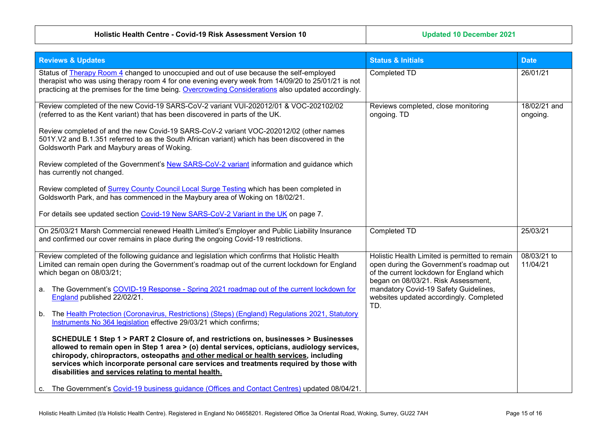**holistic Assessment Centre -** *Covid-Updated 10 December 2021* 

<span id="page-14-0"></span>

| <b>Reviews &amp; Updates</b>                                                                                                                                                                                                                                                                                                                                                                                                  | <b>Status &amp; Initials</b>                                                                                                                                                                                            | <b>Date</b>              |
|-------------------------------------------------------------------------------------------------------------------------------------------------------------------------------------------------------------------------------------------------------------------------------------------------------------------------------------------------------------------------------------------------------------------------------|-------------------------------------------------------------------------------------------------------------------------------------------------------------------------------------------------------------------------|--------------------------|
| Status of Therapy Room 4 changed to unoccupied and out of use because the self-employed<br>therapist who was using therapy room 4 for one evening every week from 14/09/20 to 25/01/21 is not<br>practicing at the premises for the time being. Overcrowding Considerations also updated accordingly.                                                                                                                         | Completed TD                                                                                                                                                                                                            | 26/01/21                 |
| Review completed of the new Covid-19 SARS-CoV-2 variant VUI-202012/01 & VOC-202102/02<br>(referred to as the Kent variant) that has been discovered in parts of the UK.                                                                                                                                                                                                                                                       | Reviews completed, close monitoring<br>ongoing. TD                                                                                                                                                                      | 18/02/21 and<br>ongoing. |
| Review completed of and the new Covid-19 SARS-CoV-2 variant VOC-202012/02 (other names<br>501Y.V2 and B.1.351 referred to as the South African variant) which has been discovered in the<br>Goldsworth Park and Maybury areas of Woking.                                                                                                                                                                                      |                                                                                                                                                                                                                         |                          |
| Review completed of the Government's New SARS-CoV-2 variant information and guidance which<br>has currently not changed.                                                                                                                                                                                                                                                                                                      |                                                                                                                                                                                                                         |                          |
| Review completed of Surrey County Council Local Surge Testing which has been completed in<br>Goldsworth Park, and has commenced in the Maybury area of Woking on 18/02/21.                                                                                                                                                                                                                                                    |                                                                                                                                                                                                                         |                          |
| For details see updated section Covid-19 New SARS-CoV-2 Variant in the UK on page 7.                                                                                                                                                                                                                                                                                                                                          |                                                                                                                                                                                                                         |                          |
| On 25/03/21 Marsh Commercial renewed Health Limited's Employer and Public Liability Insurance<br>and confirmed our cover remains in place during the ongoing Covid-19 restrictions.                                                                                                                                                                                                                                           | Completed TD                                                                                                                                                                                                            | 25/03/21                 |
| Review completed of the following guidance and legislation which confirms that Holistic Health<br>Limited can remain open during the Government's roadmap out of the current lockdown for England<br>which began on 08/03/21;<br>The Government's COVID-19 Response - Spring 2021 roadmap out of the current lockdown for                                                                                                     | Holistic Health Limited is permitted to remain<br>open during the Government's roadmap out<br>of the current lockdown for England which<br>began on 08/03/21. Risk Assessment,<br>mandatory Covid-19 Safety Guidelines, | 08/03/21 to<br>11/04/21  |
| а.<br>England published 22/02/21.                                                                                                                                                                                                                                                                                                                                                                                             | websites updated accordingly. Completed<br>TD.                                                                                                                                                                          |                          |
| The Health Protection (Coronavirus, Restrictions) (Steps) (England) Regulations 2021, Statutory<br>b.<br>Instruments No 364 legislation effective 29/03/21 which confirms;                                                                                                                                                                                                                                                    |                                                                                                                                                                                                                         |                          |
| SCHEDULE 1 Step 1 > PART 2 Closure of, and restrictions on, businesses > Businesses<br>allowed to remain open in Step 1 area > (o) dental services, opticians, audiology services,<br>chiropody, chiropractors, osteopaths and other medical or health services, including<br>services which incorporate personal care services and treatments required by those with<br>disabilities and services relating to mental health. |                                                                                                                                                                                                                         |                          |
| c. The Government's Covid-19 business guidance (Offices and Contact Centres) updated 08/04/21.                                                                                                                                                                                                                                                                                                                                |                                                                                                                                                                                                                         |                          |